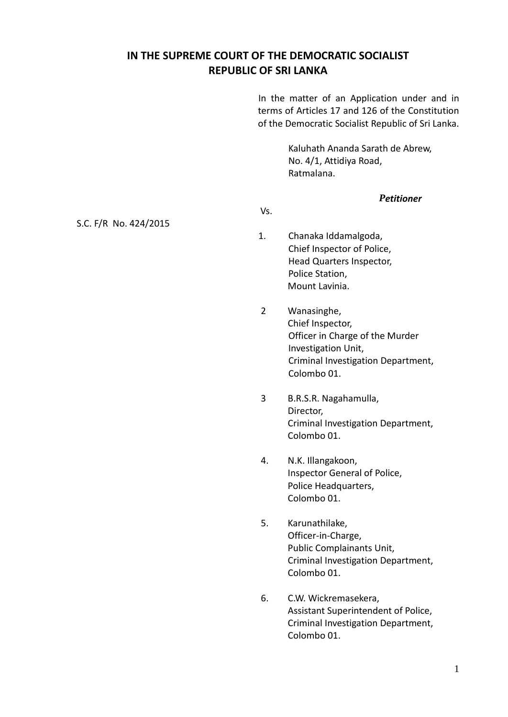# **IN THE SUPREME COURT OF THE DEMOCRATIC SOCIALIST REPUBLIC OF SRI LANKA**

In the matter of an Application under and in terms of Articles 17 and 126 of the Constitution of the Democratic Socialist Republic of Sri Lanka.

> Kaluhath Ananda Sarath de Abrew, No. 4/1, Attidiya Road, Ratmalana.

# *Petitioner*

*<u><u><b></u>*  $\sqrt{ }$  *vs.</u>* S.C. F/R No. 424/2015

- 1. Chanaka Iddamalgoda, Chief Inspector of Police, Head Quarters Inspector, Police Station, Mount Lavinia.
- 2 Wanasinghe, Chief Inspector, Officer in Charge of the Murder Investigation Unit, Criminal Investigation Department, Colombo 01.
- 3 B.R.S.R. Nagahamulla, Director, Criminal Investigation Department, Colombo 01.
- 4. N.K. Illangakoon, Inspector General of Police, Police Headquarters, Colombo 01.
- 5. Karunathilake, Officer-in-Charge, Public Complainants Unit, Criminal Investigation Department, Colombo 01.
- 6. C.W. Wickremasekera, Assistant Superintendent of Police, Criminal Investigation Department, Colombo 01.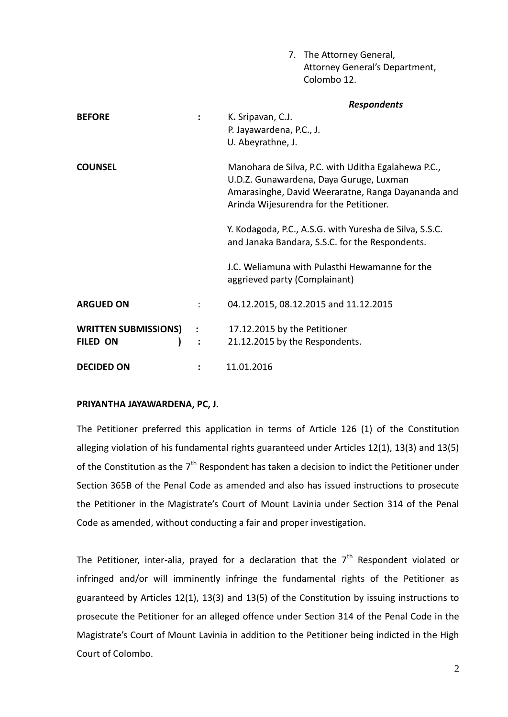|                             |                | 7. The Attorney General,                                                                                   |
|-----------------------------|----------------|------------------------------------------------------------------------------------------------------------|
|                             |                | Attorney General's Department,                                                                             |
|                             |                | Colombo 12.                                                                                                |
|                             |                | <b>Respondents</b>                                                                                         |
| <b>BEFORE</b>               | $\ddot{\cdot}$ | K. Sripavan, C.J.                                                                                          |
|                             |                | P. Jayawardena, P.C., J.                                                                                   |
|                             |                | U. Abeyrathne, J.                                                                                          |
| <b>COUNSEL</b>              |                | Manohara de Silva, P.C. with Uditha Egalahewa P.C.,<br>U.D.Z. Gunawardena, Daya Guruge, Luxman             |
|                             |                | Amarasinghe, David Weeraratne, Ranga Dayananda and<br>Arinda Wijesurendra for the Petitioner.              |
|                             |                | Y. Kodagoda, P.C., A.S.G. with Yuresha de Silva, S.S.C.<br>and Janaka Bandara, S.S.C. for the Respondents. |
|                             |                | J.C. Weliamuna with Pulasthi Hewamanne for the<br>aggrieved party (Complainant)                            |
| <b>ARGUED ON</b>            |                | 04.12.2015, 08.12.2015 and 11.12.2015                                                                      |
| <b>WRITTEN SUBMISSIONS)</b> |                | 17.12.2015 by the Petitioner                                                                               |
| FILED ON                    | $\ddot{\cdot}$ | 21.12.2015 by the Respondents.                                                                             |
| <b>DECIDED ON</b>           |                | 11.01.2016                                                                                                 |

## **PRIYANTHA JAYAWARDENA, PC, J.**

The Petitioner preferred this application in terms of Article 126 (1) of the Constitution alleging violation of his fundamental rights guaranteed under Articles 12(1), 13(3) and 13(5) of the Constitution as the 7<sup>th</sup> Respondent has taken a decision to indict the Petitioner under Section 365B of the Penal Code as amended and also has issued instructions to prosecute the Petitioner in the Magistrate's Court of Mount Lavinia under Section 314 of the Penal Code as amended, without conducting a fair and proper investigation.

The Petitioner, inter-alia, prayed for a declaration that the  $7<sup>th</sup>$  Respondent violated or infringed and/or will imminently infringe the fundamental rights of the Petitioner as guaranteed by Articles 12(1), 13(3) and 13(5) of the Constitution by issuing instructions to prosecute the Petitioner for an alleged offence under Section 314 of the Penal Code in the Magistrate's Court of Mount Lavinia in addition to the Petitioner being indicted in the High Court of Colombo.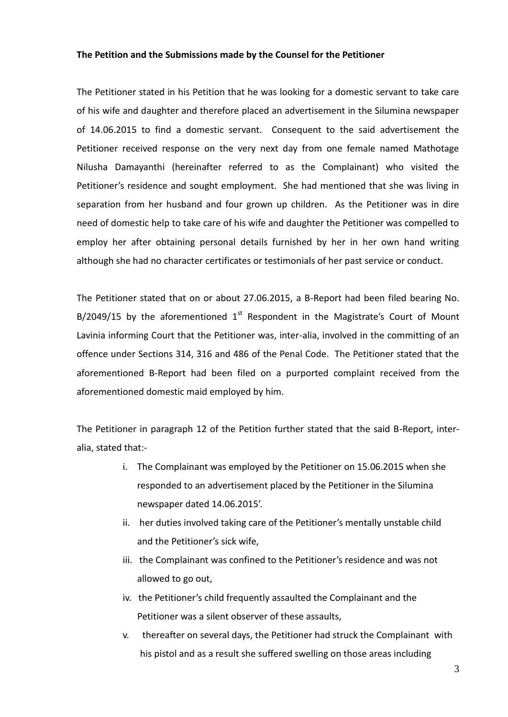#### **The Petition and the Submissions made by the Counsel for the Petitioner**

The Petitioner stated in his Petition that he was looking for a domestic servant to take care of his wife and daughter and therefore placed an advertisement in the Silumina newspaper of 14.06.2015 to find a domestic servant. Consequent to the said advertisement the Petitioner received response on the very next day from one female named Mathotage Nilusha Damayanthi (hereinafter referred to as the Complainant) who visited the Petitioner's residence and sought employment. She had mentioned that she was living in separation from her husband and four grown up children. As the Petitioner was in dire need of domestic help to take care of his wife and daughter the Petitioner was compelled to employ her after obtaining personal details furnished by her in her own hand writing although she had no character certificates or testimonials of her past service or conduct.

The Petitioner stated that on or about 27.06.2015, a B-Report had been filed bearing No. B/2049/15 by the aforementioned  $1<sup>st</sup>$  Respondent in the Magistrate's Court of Mount Lavinia informing Court that the Petitioner was, inter-alia, involved in the committing of an offence under Sections 314, 316 and 486 of the Penal Code. The Petitioner stated that the aforementioned B-Report had been filed on a purported complaint received from the aforementioned domestic maid employed by him.

The Petitioner in paragraph 12 of the Petition further stated that the said B-Report, interalia, stated that:-

- i. The Complainant was employed by the Petitioner on 15.06.2015 when she responded to an advertisement placed by the Petitioner in the Silumina newspaper dated 14.06.2015'.
- ii. her duties involved taking care of the Petitioner's mentally unstable child and the Petitioner's sick wife,
- iii. the Complainant was confined to the Petitioner's residence and was not allowed to go out,
- iv. the Petitioner's child frequently assaulted the Complainant and the Petitioner was a silent observer of these assaults,
- v. thereafter on several days, the Petitioner had struck the Complainant with his pistol and as a result she suffered swelling on those areas including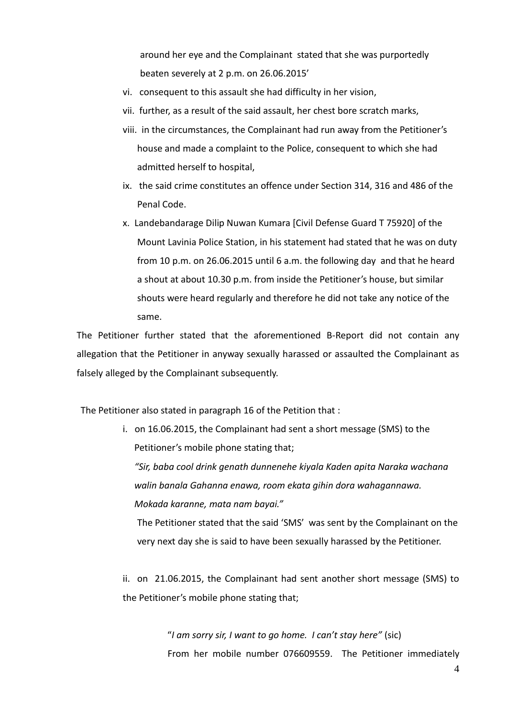around her eye and the Complainant stated that she was purportedly beaten severely at 2 p.m. on 26.06.2015'

- vi. consequent to this assault she had difficulty in her vision,
- vii. further, as a result of the said assault, her chest bore scratch marks,
- viii. in the circumstances, the Complainant had run away from the Petitioner's house and made a complaint to the Police, consequent to which she had admitted herself to hospital,
- ix. the said crime constitutes an offence under Section 314, 316 and 486 of the Penal Code.
- x. Landebandarage Dilip Nuwan Kumara [Civil Defense Guard T 75920] of the Mount Lavinia Police Station, in his statement had stated that he was on duty from 10 p.m. on 26.06.2015 until 6 a.m. the following day and that he heard a shout at about 10.30 p.m. from inside the Petitioner's house, but similar shouts were heard regularly and therefore he did not take any notice of the same.

The Petitioner further stated that the aforementioned B-Report did not contain any allegation that the Petitioner in anyway sexually harassed or assaulted the Complainant as falsely alleged by the Complainant subsequently.

The Petitioner also stated in paragraph 16 of the Petition that :

i. on 16.06.2015, the Complainant had sent a short message (SMS) to the Petitioner's mobile phone stating that;

*"Sir, baba cool drink genath dunnenehe kiyala Kaden apita Naraka wachana walin banala Gahanna enawa, room ekata gihin dora wahagannawa. Mokada karanne, mata nam bayai."*

The Petitioner stated that the said 'SMS' was sent by the Complainant on the very next day she is said to have been sexually harassed by the Petitioner.

ii. on 21.06.2015, the Complainant had sent another short message (SMS) to the Petitioner's mobile phone stating that;

> "*I am sorry sir, I want to go home. I can't stay here"* (sic) From her mobile number 076609559. The Petitioner immediately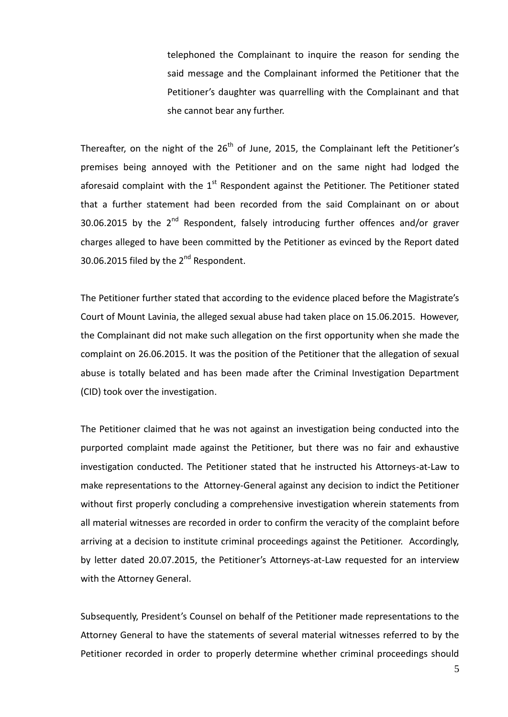telephoned the Complainant to inquire the reason for sending the said message and the Complainant informed the Petitioner that the Petitioner's daughter was quarrelling with the Complainant and that she cannot bear any further.

Thereafter, on the night of the  $26<sup>th</sup>$  of June, 2015, the Complainant left the Petitioner's premises being annoyed with the Petitioner and on the same night had lodged the aforesaid complaint with the  $1<sup>st</sup>$  Respondent against the Petitioner. The Petitioner stated that a further statement had been recorded from the said Complainant on or about 30.06.2015 by the  $2^{nd}$  Respondent, falsely introducing further offences and/or graver charges alleged to have been committed by the Petitioner as evinced by the Report dated 30.06.2015 filed by the 2<sup>nd</sup> Respondent.

The Petitioner further stated that according to the evidence placed before the Magistrate's Court of Mount Lavinia, the alleged sexual abuse had taken place on 15.06.2015. However, the Complainant did not make such allegation on the first opportunity when she made the complaint on 26.06.2015. It was the position of the Petitioner that the allegation of sexual abuse is totally belated and has been made after the Criminal Investigation Department (CID) took over the investigation.

The Petitioner claimed that he was not against an investigation being conducted into the purported complaint made against the Petitioner, but there was no fair and exhaustive investigation conducted. The Petitioner stated that he instructed his Attorneys-at-Law to make representations to the Attorney-General against any decision to indict the Petitioner without first properly concluding a comprehensive investigation wherein statements from all material witnesses are recorded in order to confirm the veracity of the complaint before arriving at a decision to institute criminal proceedings against the Petitioner. Accordingly, by letter dated 20.07.2015, the Petitioner's Attorneys-at-Law requested for an interview with the Attorney General.

Subsequently, President's Counsel on behalf of the Petitioner made representations to the Attorney General to have the statements of several material witnesses referred to by the Petitioner recorded in order to properly determine whether criminal proceedings should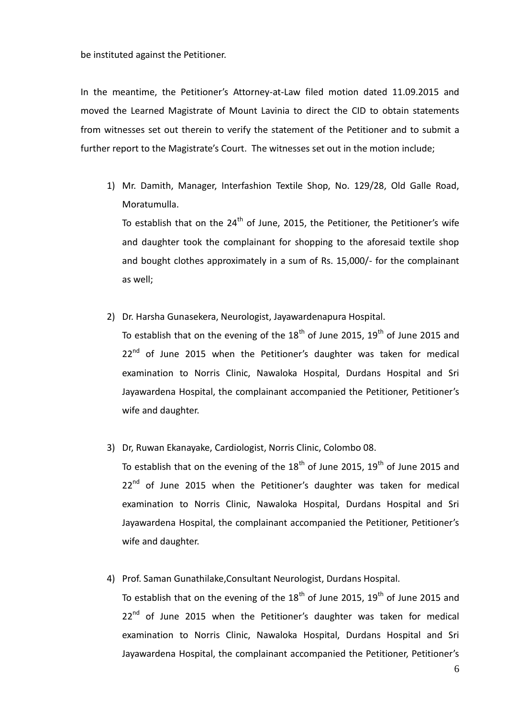be instituted against the Petitioner.

In the meantime, the Petitioner's Attorney-at-Law filed motion dated 11.09.2015 and moved the Learned Magistrate of Mount Lavinia to direct the CID to obtain statements from witnesses set out therein to verify the statement of the Petitioner and to submit a further report to the Magistrate's Court. The witnesses set out in the motion include;

1) Mr. Damith, Manager, Interfashion Textile Shop, No. 129/28, Old Galle Road, Moratumulla.

To establish that on the  $24<sup>th</sup>$  of June, 2015, the Petitioner, the Petitioner's wife and daughter took the complainant for shopping to the aforesaid textile shop and bought clothes approximately in a sum of Rs. 15,000/- for the complainant as well;

2) Dr. Harsha Gunasekera, Neurologist, Jayawardenapura Hospital.

To establish that on the evening of the  $18<sup>th</sup>$  of June 2015,  $19<sup>th</sup>$  of June 2015 and  $22^{nd}$  of June 2015 when the Petitioner's daughter was taken for medical examination to Norris Clinic, Nawaloka Hospital, Durdans Hospital and Sri Jayawardena Hospital, the complainant accompanied the Petitioner, Petitioner's wife and daughter.

#### 3) Dr, Ruwan Ekanayake, Cardiologist, Norris Clinic, Colombo 08.

To establish that on the evening of the  $18<sup>th</sup>$  of June 2015,  $19<sup>th</sup>$  of June 2015 and 22<sup>nd</sup> of June 2015 when the Petitioner's daughter was taken for medical examination to Norris Clinic, Nawaloka Hospital, Durdans Hospital and Sri Jayawardena Hospital, the complainant accompanied the Petitioner, Petitioner's wife and daughter.

#### 4) Prof. Saman Gunathilake,Consultant Neurologist, Durdans Hospital.

To establish that on the evening of the  $18<sup>th</sup>$  of June 2015,  $19<sup>th</sup>$  of June 2015 and  $22^{nd}$  of June 2015 when the Petitioner's daughter was taken for medical examination to Norris Clinic, Nawaloka Hospital, Durdans Hospital and Sri Jayawardena Hospital, the complainant accompanied the Petitioner, Petitioner's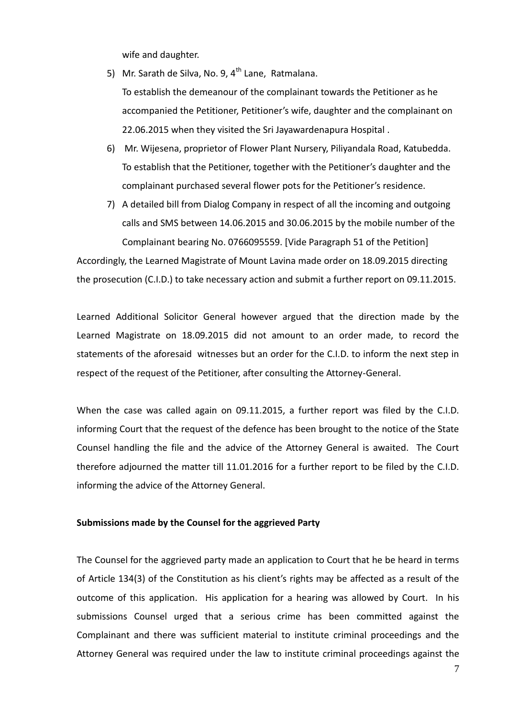wife and daughter.

5) Mr. Sarath de Silva, No. 9,  $4^{th}$  Lane, Ratmalana.

To establish the demeanour of the complainant towards the Petitioner as he accompanied the Petitioner, Petitioner's wife, daughter and the complainant on 22.06.2015 when they visited the Sri Jayawardenapura Hospital .

- 6) Mr. Wijesena, proprietor of Flower Plant Nursery, Piliyandala Road, Katubedda. To establish that the Petitioner, together with the Petitioner's daughter and the complainant purchased several flower pots for the Petitioner's residence.
- 7) A detailed bill from Dialog Company in respect of all the incoming and outgoing calls and SMS between 14.06.2015 and 30.06.2015 by the mobile number of the Complainant bearing No. 0766095559. [Vide Paragraph 51 of the Petition]

Accordingly, the Learned Magistrate of Mount Lavina made order on 18.09.2015 directing the prosecution (C.I.D.) to take necessary action and submit a further report on 09.11.2015.

Learned Additional Solicitor General however argued that the direction made by the Learned Magistrate on 18.09.2015 did not amount to an order made, to record the statements of the aforesaid witnesses but an order for the C.I.D. to inform the next step in respect of the request of the Petitioner, after consulting the Attorney-General.

When the case was called again on 09.11.2015, a further report was filed by the C.I.D. informing Court that the request of the defence has been brought to the notice of the State Counsel handling the file and the advice of the Attorney General is awaited. The Court therefore adjourned the matter till 11.01.2016 for a further report to be filed by the C.I.D. informing the advice of the Attorney General.

#### **Submissions made by the Counsel for the aggrieved Party**

The Counsel for the aggrieved party made an application to Court that he be heard in terms of Article 134(3) of the Constitution as his client's rights may be affected as a result of the outcome of this application. His application for a hearing was allowed by Court. In his submissions Counsel urged that a serious crime has been committed against the Complainant and there was sufficient material to institute criminal proceedings and the Attorney General was required under the law to institute criminal proceedings against the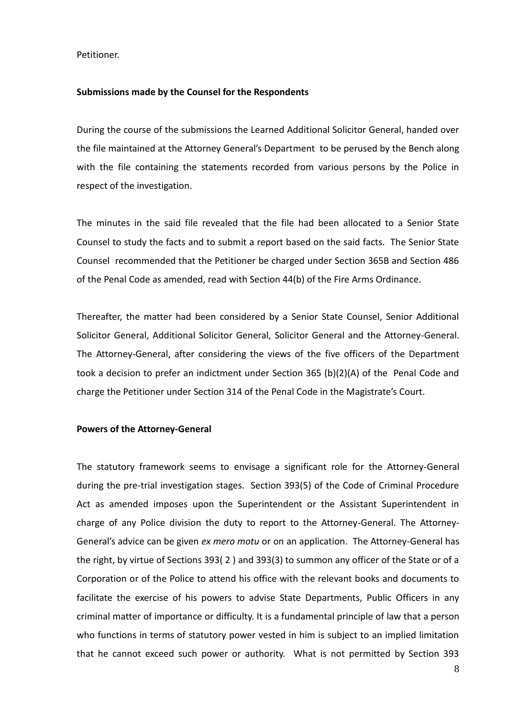Petitioner.

### **Submissions made by the Counsel for the Respondents**

During the course of the submissions the Learned Additional Solicitor General, handed over the file maintained at the Attorney General's Department to be perused by the Bench along with the file containing the statements recorded from various persons by the Police in respect of the investigation.

The minutes in the said file revealed that the file had been allocated to a Senior State Counsel to study the facts and to submit a report based on the said facts. The Senior State Counsel recommended that the Petitioner be charged under Section 365B and Section 486 of the Penal Code as amended, read with Section 44(b) of the Fire Arms Ordinance.

Thereafter, the matter had been considered by a Senior State Counsel, Senior Additional Solicitor General, Additional Solicitor General, Solicitor General and the Attorney-General. The Attorney-General, after considering the views of the five officers of the Department took a decision to prefer an indictment under Section 365 (b)(2)(A) of the Penal Code and charge the Petitioner under Section 314 of the Penal Code in the Magistrate's Court.

#### **Powers of the Attorney-General**

The statutory framework seems to envisage a significant role for the Attorney-General during the pre-trial investigation stages. Section 393(5) of the Code of Criminal Procedure Act as amended imposes upon the Superintendent or the Assistant Superintendent in charge of any Police division the duty to report to the Attorney-General. The Attorney-General's advice can be given *ex mero motu* or on an application. The Attorney-General has the right, by virtue of Sections 393( 2 ) and 393(3) to summon any officer of the State or of a Corporation or of the Police to attend his office with the relevant books and documents to facilitate the exercise of his powers to advise State Departments, Public Officers in any criminal matter of importance or difficulty. It is a fundamental principle of law that a person who functions in terms of statutory power vested in him is subject to an implied limitation that he cannot exceed such power or authority. What is not permitted by Section 393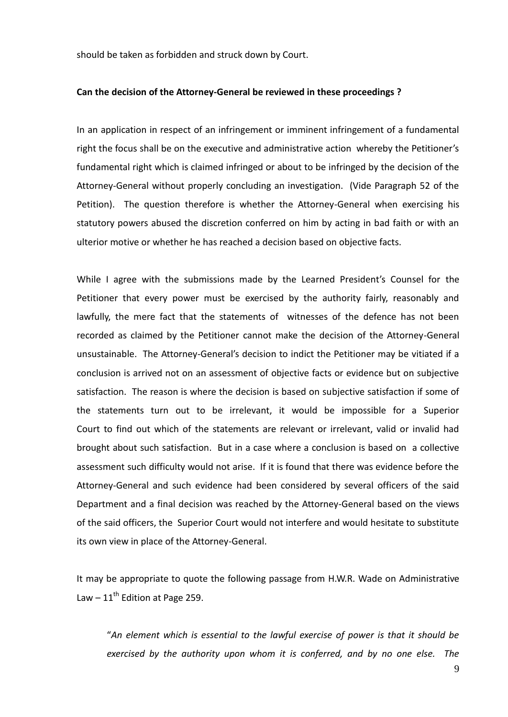should be taken as forbidden and struck down by Court.

#### **Can the decision of the Attorney-General be reviewed in these proceedings ?**

In an application in respect of an infringement or imminent infringement of a fundamental right the focus shall be on the executive and administrative action whereby the Petitioner's fundamental right which is claimed infringed or about to be infringed by the decision of the Attorney-General without properly concluding an investigation. (Vide Paragraph 52 of the Petition). The question therefore is whether the Attorney-General when exercising his statutory powers abused the discretion conferred on him by acting in bad faith or with an ulterior motive or whether he has reached a decision based on objective facts.

While I agree with the submissions made by the Learned President's Counsel for the Petitioner that every power must be exercised by the authority fairly, reasonably and lawfully, the mere fact that the statements of witnesses of the defence has not been recorded as claimed by the Petitioner cannot make the decision of the Attorney-General unsustainable. The Attorney-General's decision to indict the Petitioner may be vitiated if a conclusion is arrived not on an assessment of objective facts or evidence but on subjective satisfaction. The reason is where the decision is based on subjective satisfaction if some of the statements turn out to be irrelevant, it would be impossible for a Superior Court to find out which of the statements are relevant or irrelevant, valid or invalid had brought about such satisfaction. But in a case where a conclusion is based on a collective assessment such difficulty would not arise. If it is found that there was evidence before the Attorney-General and such evidence had been considered by several officers of the said Department and a final decision was reached by the Attorney-General based on the views of the said officers, the Superior Court would not interfere and would hesitate to substitute its own view in place of the Attorney-General.

It may be appropriate to quote the following passage from H.W.R. Wade on Administrative Law  $-11^{\text{th}}$  Edition at Page 259.

"*An element which is essential to the lawful exercise of power is that it should be exercised by the authority upon whom it is conferred, and by no one else. The*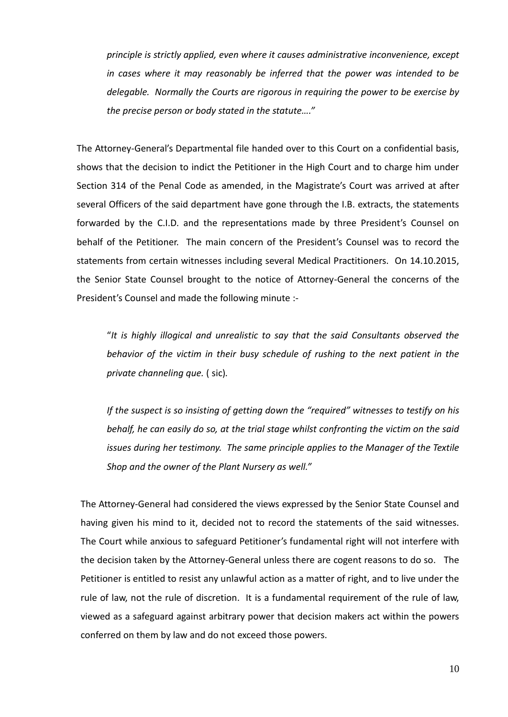*principle is strictly applied, even where it causes administrative inconvenience, except in cases where it may reasonably be inferred that the power was intended to be delegable. Normally the Courts are rigorous in requiring the power to be exercise by the precise person or body stated in the statute…."*

The Attorney-General's Departmental file handed over to this Court on a confidential basis, shows that the decision to indict the Petitioner in the High Court and to charge him under Section 314 of the Penal Code as amended, in the Magistrate's Court was arrived at after several Officers of the said department have gone through the I.B. extracts, the statements forwarded by the C.I.D. and the representations made by three President's Counsel on behalf of the Petitioner. The main concern of the President's Counsel was to record the statements from certain witnesses including several Medical Practitioners. On 14.10.2015, the Senior State Counsel brought to the notice of Attorney-General the concerns of the President's Counsel and made the following minute :-

"*It is highly illogical and unrealistic to say that the said Consultants observed the behavior of the victim in their busy schedule of rushing to the next patient in the private channeling que.* ( sic)*.*

*If the suspect is so insisting of getting down the "required" witnesses to testify on his behalf, he can easily do so, at the trial stage whilst confronting the victim on the said issues during her testimony. The same principle applies to the Manager of the Textile Shop and the owner of the Plant Nursery as well."*

The Attorney-General had considered the views expressed by the Senior State Counsel and having given his mind to it, decided not to record the statements of the said witnesses. The Court while anxious to safeguard Petitioner's fundamental right will not interfere with the decision taken by the Attorney-General unless there are cogent reasons to do so. The Petitioner is entitled to resist any unlawful action as a matter of right, and to live under the rule of law, not the rule of discretion. It is a fundamental requirement of the rule of law, viewed as a safeguard against arbitrary power that decision makers act within the powers conferred on them by law and do not exceed those powers.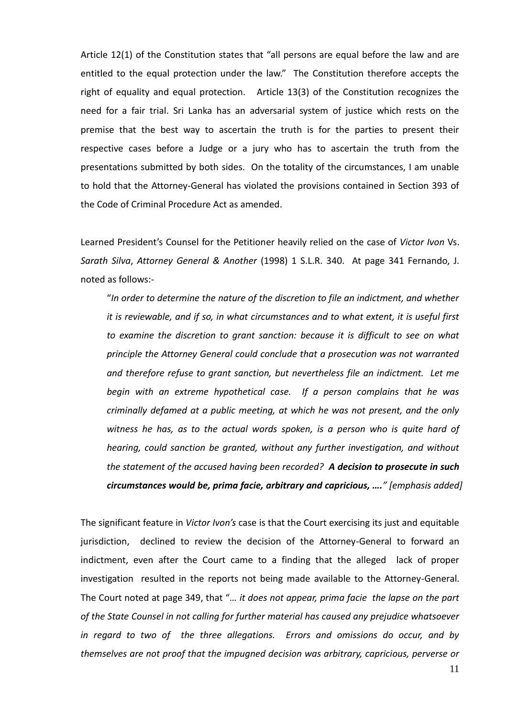Article 12(1) of the Constitution states that "all persons are equal before the law and are entitled to the equal protection under the law." The Constitution therefore accepts the right of equality and equal protection. Article 13(3) of the Constitution recognizes the need for a fair trial. Sri Lanka has an adversarial system of justice which rests on the premise that the best way to ascertain the truth is for the parties to present their respective cases before a Judge or a jury who has to ascertain the truth from the presentations submitted by both sides. On the totality of the circumstances, I am unable to hold that the Attorney-General has violated the provisions contained in Section 393 of the Code of Criminal Procedure Act as amended.

Learned President's Counsel for the Petitioner heavily relied on the case of *Victor Ivon* Vs. *Sarath Silva*, *Attorney General & Another* (1998) 1 S.L.R. 340. At page 341 Fernando, J. noted as follows:-

"*In order to determine the nature of the discretion to file an indictment, and whether it is reviewable, and if so, in what circumstances and to what extent, it is useful first to examine the discretion to grant sanction: because it is difficult to see on what principle the Attorney General could conclude that a prosecution was not warranted and therefore refuse to grant sanction, but nevertheless file an indictment. Let me begin with an extreme hypothetical case. If a person complains that he was criminally defamed at a public meeting, at which he was not present, and the only witness he has, as to the actual words spoken, is a person who is quite hard of hearing, could sanction be granted, without any further investigation, and without the statement of the accused having been recorded? A decision to prosecute in such circumstances would be, prima facie, arbitrary and capricious, …." [emphasis added]* 

The significant feature in *Victor Ivon's* case is that the Court exercising its just and equitable jurisdiction, declined to review the decision of the Attorney-General to forward an indictment, even after the Court came to a finding that the alleged lack of proper investigation resulted in the reports not being made available to the Attorney-General. The Court noted at page 349, that "*… it does not appear, prima facie the lapse on the part of the State Counsel in not calling for further material has caused any prejudice whatsoever in regard to two of the three allegations. Errors and omissions do occur, and by themselves are not proof that the impugned decision was arbitrary, capricious, perverse or*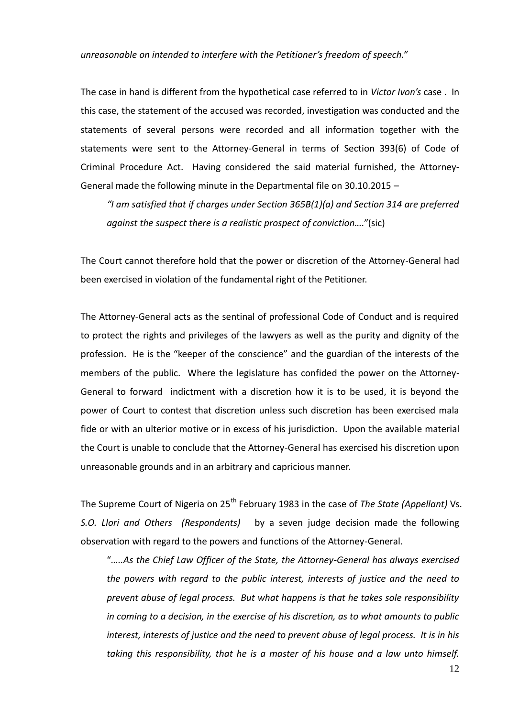#### *unreasonable on intended to interfere with the Petitioner's freedom of speech."*

The case in hand is different from the hypothetical case referred to in *Victor Ivon's* case . In this case, the statement of the accused was recorded, investigation was conducted and the statements of several persons were recorded and all information together with the statements were sent to the Attorney-General in terms of Section 393(6) of Code of Criminal Procedure Act. Having considered the said material furnished, the Attorney-General made the following minute in the Departmental file on 30.10.2015 –

*"I am satisfied that if charges under Section 365B(1)(a) and Section 314 are preferred against the suspect there is a realistic prospect of conviction…."*(sic)

The Court cannot therefore hold that the power or discretion of the Attorney-General had been exercised in violation of the fundamental right of the Petitioner.

The Attorney-General acts as the sentinal of professional Code of Conduct and is required to protect the rights and privileges of the lawyers as well as the purity and dignity of the profession. He is the "keeper of the conscience" and the guardian of the interests of the members of the public. Where the legislature has confided the power on the Attorney-General to forward indictment with a discretion how it is to be used, it is beyond the power of Court to contest that discretion unless such discretion has been exercised mala fide or with an ulterior motive or in excess of his jurisdiction. Upon the available material the Court is unable to conclude that the Attorney-General has exercised his discretion upon unreasonable grounds and in an arbitrary and capricious manner.

The Supreme Court of Nigeria on 25<sup>th</sup> February 1983 in the case of *The State (Appellant)* Vs. *S.O. Llori and Others (Respondents)* by a seven judge decision made the following observation with regard to the powers and functions of the Attorney-General.

"*…..As the Chief Law Officer of the State, the Attorney-General has always exercised the powers with regard to the public interest, interests of justice and the need to prevent abuse of legal process. But what happens is that he takes sole responsibility in coming to a decision, in the exercise of his discretion, as to what amounts to public interest, interests of justice and the need to prevent abuse of legal process. It is in his taking this responsibility, that he is a master of his house and a law unto himself.*